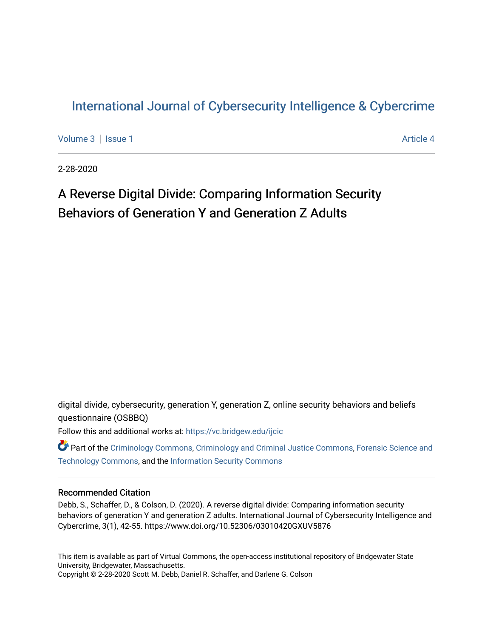# [International Journal of Cybersecurity Intelligence & Cybercrime](https://vc.bridgew.edu/ijcic)

[Volume 3](https://vc.bridgew.edu/ijcic/vol3) | [Issue 1](https://vc.bridgew.edu/ijcic/vol3/iss1) Article 4

2-28-2020

# A Reverse Digital Divide: Comparing Information Security Behaviors of Generation Y and Generation Z Adults

digital divide, cybersecurity, generation Y, generation Z, online security behaviors and beliefs questionnaire (OSBBQ)

Follow this and additional works at: [https://vc.bridgew.edu/ijcic](https://vc.bridgew.edu/ijcic?utm_source=vc.bridgew.edu%2Fijcic%2Fvol3%2Fiss1%2F4&utm_medium=PDF&utm_campaign=PDFCoverPages) 

**C** Part of the [Criminology Commons](https://network.bepress.com/hgg/discipline/417?utm_source=vc.bridgew.edu%2Fijcic%2Fvol3%2Fiss1%2F4&utm_medium=PDF&utm_campaign=PDFCoverPages), [Criminology and Criminal Justice Commons,](https://network.bepress.com/hgg/discipline/367?utm_source=vc.bridgew.edu%2Fijcic%2Fvol3%2Fiss1%2F4&utm_medium=PDF&utm_campaign=PDFCoverPages) Forensic Science and [Technology Commons,](https://network.bepress.com/hgg/discipline/1277?utm_source=vc.bridgew.edu%2Fijcic%2Fvol3%2Fiss1%2F4&utm_medium=PDF&utm_campaign=PDFCoverPages) and the [Information Security Commons](https://network.bepress.com/hgg/discipline/1247?utm_source=vc.bridgew.edu%2Fijcic%2Fvol3%2Fiss1%2F4&utm_medium=PDF&utm_campaign=PDFCoverPages) 

# Recommended Citation

Debb, S., Schaffer, D., & Colson, D. (2020). A reverse digital divide: Comparing information security behaviors of generation Y and generation Z adults. International Journal of Cybersecurity Intelligence and Cybercrime, 3(1), 42-55. https://www.doi.org/10.52306/03010420GXUV5876

This item is available as part of Virtual Commons, the open-access institutional repository of Bridgewater State University, Bridgewater, Massachusetts. Copyright © 2-28-2020 Scott M. Debb, Daniel R. Schaffer, and Darlene G. Colson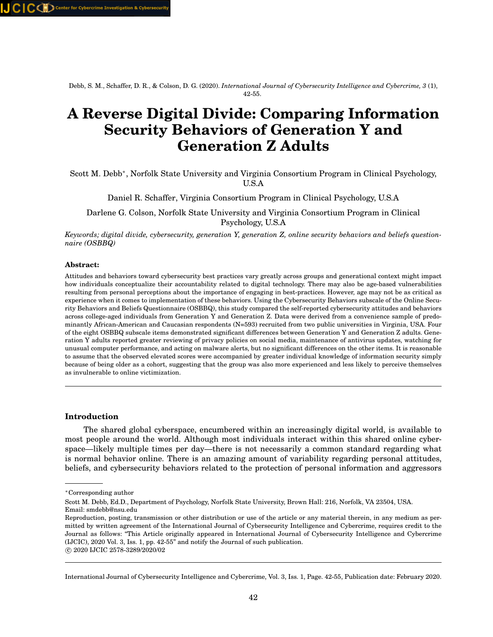Debb, S. M., Schaffer, D. R., & Colson, D. G. (2020). *International Journal of Cybersecurity Intelligence and Cybercrime, 3* (1), 42-55.

# **A Reverse Digital Divide: Comparing Information Security Behaviors of Generation Y and Generation Z Adults**

Scott M. Debb<sup>∗</sup> , Norfolk State University and Virginia Consortium Program in Clinical Psychology, U.S.A

Daniel R. Schaffer, Virginia Consortium Program in Clinical Psychology, U.S.A

Darlene G. Colson, Norfolk State University and Virginia Consortium Program in Clinical Psychology, U.S.A

*Keywords; digital divide, cybersecurity, generation Y, generation Z, online security behaviors and beliefs questionnaire (OSBBQ)*

#### **Abstract:**

Attitudes and behaviors toward cybersecurity best practices vary greatly across groups and generational context might impact how individuals conceptualize their accountability related to digital technology. There may also be age-based vulnerabilities resulting from personal perceptions about the importance of engaging in best-practices. However, age may not be as critical as experience when it comes to implementation of these behaviors. Using the Cybersecurity Behaviors subscale of the Online Security Behaviors and Beliefs Questionnaire (OSBBQ), this study compared the self-reported cybersecurity attitudes and behaviors across college-aged individuals from Generation Y and Generation Z. Data were derived from a convenience sample of predominantly African-American and Caucasian respondents (N=593) recruited from two public universities in Virginia, USA. Four of the eight OSBBQ subscale items demonstrated significant differences between Generation Y and Generation Z adults. Generation Y adults reported greater reviewing of privacy policies on social media, maintenance of antivirus updates, watching for unusual computer performance, and acting on malware alerts, but no significant differences on the other items. It is reasonable to assume that the observed elevated scores were accompanied by greater individual knowledge of information security simply because of being older as a cohort, suggesting that the group was also more experienced and less likely to perceive themselves as invulnerable to online victimization.

# **Introduction**

The shared global cyberspace, encumbered within an increasingly digital world, is available to most people around the world. Although most individuals interact within this shared online cyberspace—likely multiple times per day—there is not necessarily a common standard regarding what is normal behavior online. There is an amazing amount of variability regarding personal attitudes, beliefs, and cybersecurity behaviors related to the protection of personal information and aggressors

<sup>∗</sup>Corresponding author

Scott M. Debb, Ed.D., Department of Psychology, Norfolk State University, Brown Hall: 216, Norfolk, VA 23504, USA. Email: smdebb@nsu.edu

Reproduction, posting, transmission or other distribution or use of the article or any material therein, in any medium as permitted by written agreement of the International Journal of Cybersecurity Intelligence and Cybercrime, requires credit to the Journal as follows: "This Article originally appeared in International Journal of Cybersecurity Intelligence and Cybercrime (IJCIC), 2020 Vol. 3, Iss. 1, pp. 42-55" and notify the Journal of such publication. c 2020 IJCIC 2578-3289/2020/02

International Journal of Cybersecurity Intelligence and Cybercrime, Vol. 3, Iss. 1, Page. 42-55, Publication date: February 2020.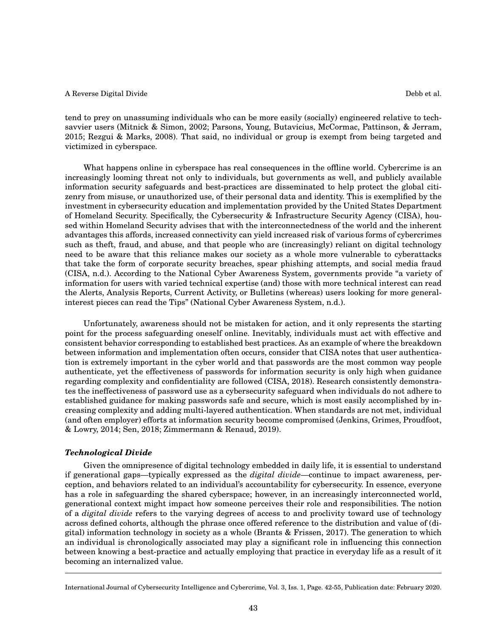victimized in cyberspace.

tend to prey on unassuming individuals who can be more easily (socially) engineered relative to techsavvier users (Mitnick & Simon, 2002; Parsons, Young, Butavicius, McCormac, Pattinson, & Jerram, 2015; Rezgui & Marks, 2008). That said, no individual or group is exempt from being targeted and

What happens online in cyberspace has real consequences in the offline world. Cybercrime is an increasingly looming threat not only to individuals, but governments as well, and publicly available information security safeguards and best-practices are disseminated to help protect the global citizenry from misuse, or unauthorized use, of their personal data and identity. This is exemplified by the investment in cybersecurity education and implementation provided by the United States Department of Homeland Security. Specifically, the Cybersecurity & Infrastructure Security Agency (CISA), housed within Homeland Security advises that with the interconnectedness of the world and the inherent advantages this affords, increased connectivity can yield increased risk of various forms of cybercrimes such as theft, fraud, and abuse, and that people who are (increasingly) reliant on digital technology need to be aware that this reliance makes our society as a whole more vulnerable to cyberattacks that take the form of corporate security breaches, spear phishing attempts, and social media fraud (CISA, n.d.). According to the National Cyber Awareness System, governments provide "a variety of information for users with varied technical expertise (and) those with more technical interest can read the Alerts, Analysis Reports, Current Activity, or Bulletins (whereas) users looking for more generalinterest pieces can read the Tips" (National Cyber Awareness System, n.d.).

Unfortunately, awareness should not be mistaken for action, and it only represents the starting point for the process safeguarding oneself online. Inevitably, individuals must act with effective and consistent behavior corresponding to established best practices. As an example of where the breakdown between information and implementation often occurs, consider that CISA notes that user authentication is extremely important in the cyber world and that passwords are the most common way people authenticate, yet the effectiveness of passwords for information security is only high when guidance regarding complexity and confidentiality are followed (CISA, 2018). Research consistently demonstrates the ineffectiveness of password use as a cybersecurity safeguard when individuals do not adhere to established guidance for making passwords safe and secure, which is most easily accomplished by increasing complexity and adding multi-layered authentication. When standards are not met, individual (and often employer) efforts at information security become compromised (Jenkins, Grimes, Proudfoot, & Lowry, 2014; Sen, 2018; Zimmermann & Renaud, 2019).

# *Technological Divide*

Given the omnipresence of digital technology embedded in daily life, it is essential to understand if generational gaps—typically expressed as the *digital divide*—continue to impact awareness, perception, and behaviors related to an individual's accountability for cybersecurity. In essence, everyone has a role in safeguarding the shared cyberspace; however, in an increasingly interconnected world, generational context might impact how someone perceives their role and responsibilities. The notion of a *digital divide* refers to the varying degrees of access to and proclivity toward use of technology across defined cohorts, although the phrase once offered reference to the distribution and value of (digital) information technology in society as a whole (Brants & Frissen, 2017). The generation to which an individual is chronologically associated may play a significant role in influencing this connection between knowing a best-practice and actually employing that practice in everyday life as a result of it becoming an internalized value.

International Journal of Cybersecurity Intelligence and Cybercrime, Vol. 3, Iss. 1, Page. 42-55, Publication date: February 2020.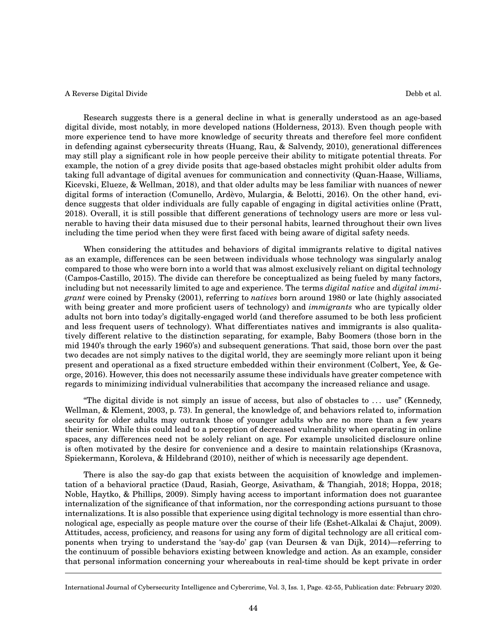Research suggests there is a general decline in what is generally understood as an age-based digital divide, most notably, in more developed nations (Holderness, 2013). Even though people with more experience tend to have more knowledge of security threats and therefore feel more confident in defending against cybersecurity threats (Huang, Rau, & Salvendy, 2010), generational differences may still play a significant role in how people perceive their ability to mitigate potential threats. For example, the notion of a grey divide posits that age-based obstacles might prohibit older adults from taking full advantage of digital avenues for communication and connectivity (Quan-Haase, Williams, Kicevski, Elueze, & Wellman, 2018), and that older adults may be less familiar with nuances of newer digital forms of interaction (Comunello, Ardèvo, Mulargia, & Belotti, 2016). On the other hand, evidence suggests that older individuals are fully capable of engaging in digital activities online (Pratt, 2018). Overall, it is still possible that different generations of technology users are more or less vulnerable to having their data misused due to their personal habits, learned throughout their own lives including the time period when they were first faced with being aware of digital safety needs.

When considering the attitudes and behaviors of digital immigrants relative to digital natives as an example, differences can be seen between individuals whose technology was singularly analog compared to those who were born into a world that was almost exclusively reliant on digital technology (Campos-Castillo, 2015). The divide can therefore be conceptualized as being fueled by many factors, including but not necessarily limited to age and experience. The terms *digital native* and *digital immigrant* were coined by Prensky (2001), referring to *natives* born around 1980 or late (highly associated with being greater and more proficient users of technology) and *immigrants* who are typically older adults not born into today's digitally-engaged world (and therefore assumed to be both less proficient and less frequent users of technology). What differentiates natives and immigrants is also qualitatively different relative to the distinction separating, for example, Baby Boomers (those born in the mid 1940's through the early 1960's) and subsequent generations. That said, those born over the past two decades are not simply natives to the digital world, they are seemingly more reliant upon it being present and operational as a fixed structure embedded within their environment (Colbert, Yee, & George, 2016). However, this does not necessarily assume these individuals have greater competence with regards to minimizing individual vulnerabilities that accompany the increased reliance and usage.

"The digital divide is not simply an issue of access, but also of obstacles to . . . use" (Kennedy, Wellman, & Klement, 2003, p. 73). In general, the knowledge of, and behaviors related to, information security for older adults may outrank those of younger adults who are no more than a few years their senior. While this could lead to a perception of decreased vulnerability when operating in online spaces, any differences need not be solely reliant on age. For example unsolicited disclosure online is often motivated by the desire for convenience and a desire to maintain relationships (Krasnova, Spiekermann, Koroleva, & Hildebrand (2010), neither of which is necessarily age dependent.

There is also the say-do gap that exists between the acquisition of knowledge and implementation of a behavioral practice (Daud, Rasiah, George, Asivatham, & Thangiah, 2018; Hoppa, 2018; Noble, Haytko, & Phillips, 2009). Simply having access to important information does not guarantee internalization of the significance of that information, nor the corresponding actions pursuant to those internalizations. It is also possible that experience using digital technology is more essential than chronological age, especially as people mature over the course of their life (Eshet-Alkalai & Chajut, 2009). Attitudes, access, proficiency, and reasons for using any form of digital technology are all critical components when trying to understand the 'say-do' gap (van Deursen & van Dijk, 2014)—referring to the continuum of possible behaviors existing between knowledge and action. As an example, consider that personal information concerning your whereabouts in real-time should be kept private in order

International Journal of Cybersecurity Intelligence and Cybercrime, Vol. 3, Iss. 1, Page. 42-55, Publication date: February 2020.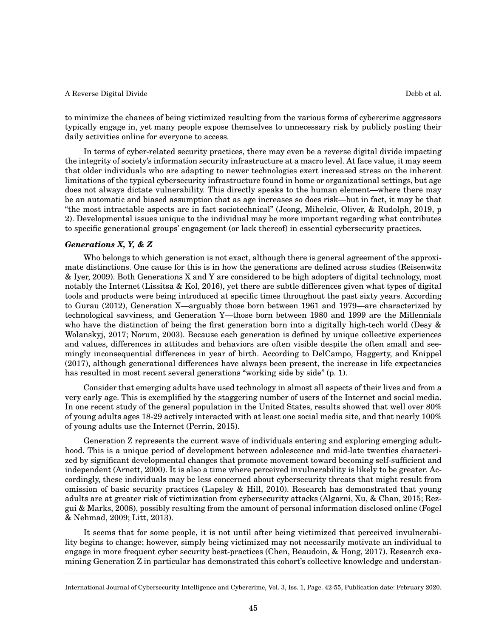to minimize the chances of being victimized resulting from the various forms of cybercrime aggressors typically engage in, yet many people expose themselves to unnecessary risk by publicly posting their daily activities online for everyone to access.

In terms of cyber-related security practices, there may even be a reverse digital divide impacting the integrity of society's information security infrastructure at a macro level. At face value, it may seem that older individuals who are adapting to newer technologies exert increased stress on the inherent limitations of the typical cybersecurity infrastructure found in home or organizational settings, but age does not always dictate vulnerability. This directly speaks to the human element—where there may be an automatic and biased assumption that as age increases so does risk—but in fact, it may be that "the most intractable aspects are in fact sociotechnical" (Jeong, Mihelcic, Oliver, & Rudolph, 2019, p 2). Developmental issues unique to the individual may be more important regarding what contributes to specific generational groups' engagement (or lack thereof) in essential cybersecurity practices.

# *Generations X, Y, & Z*

Who belongs to which generation is not exact, although there is general agreement of the approximate distinctions. One cause for this is in how the generations are defined across studies (Reisenwitz & Iyer, 2009). Both Generations X and Y are considered to be high adopters of digital technology, most notably the Internet (Lissitsa & Kol, 2016), yet there are subtle differences given what types of digital tools and products were being introduced at specific times throughout the past sixty years. According to Gurau (2012), Generation X—arguably those born between 1961 and 1979—are characterized by technological savviness, and Generation Y—those born between 1980 and 1999 are the Millennials who have the distinction of being the first generation born into a digitally high-tech world (Desy & Wolanskyj, 2017; Norum, 2003). Because each generation is defined by unique collective experiences and values, differences in attitudes and behaviors are often visible despite the often small and seemingly inconsequential differences in year of birth. According to DelCampo, Haggerty, and Knippel (2017), although generational differences have always been present, the increase in life expectancies has resulted in most recent several generations "working side by side" (p. 1).

Consider that emerging adults have used technology in almost all aspects of their lives and from a very early age. This is exemplified by the staggering number of users of the Internet and social media. In one recent study of the general population in the United States, results showed that well over 80% of young adults ages 18-29 actively interacted with at least one social media site, and that nearly 100% of young adults use the Internet (Perrin, 2015).

Generation Z represents the current wave of individuals entering and exploring emerging adulthood. This is a unique period of development between adolescence and mid-late twenties characterized by significant developmental changes that promote movement toward becoming self-sufficient and independent (Arnett, 2000). It is also a time where perceived invulnerability is likely to be greater. Accordingly, these individuals may be less concerned about cybersecurity threats that might result from omission of basic security practices (Lapsley & Hill, 2010). Research has demonstrated that young adults are at greater risk of victimization from cybersecurity attacks (Algarni, Xu, & Chan, 2015; Rezgui & Marks, 2008), possibly resulting from the amount of personal information disclosed online (Fogel & Nehmad, 2009; Litt, 2013).

It seems that for some people, it is not until after being victimized that perceived invulnerability begins to change; however, simply being victimized may not necessarily motivate an individual to engage in more frequent cyber security best-practices (Chen, Beaudoin, & Hong, 2017). Research examining Generation Z in particular has demonstrated this cohort's collective knowledge and understan-

International Journal of Cybersecurity Intelligence and Cybercrime, Vol. 3, Iss. 1, Page. 42-55, Publication date: February 2020.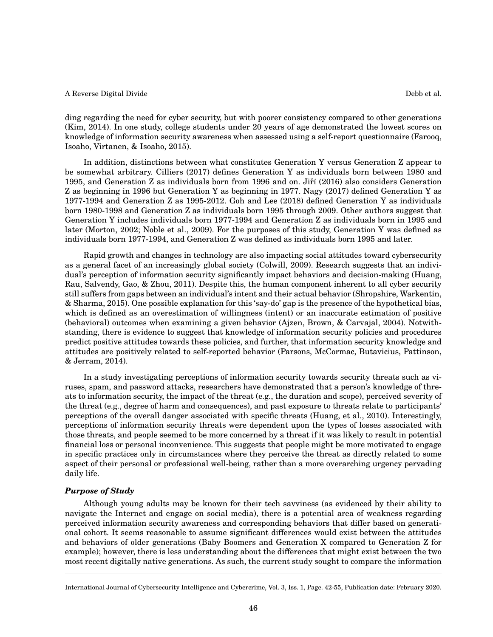ding regarding the need for cyber security, but with poorer consistency compared to other generations (Kim, 2014). In one study, college students under 20 years of age demonstrated the lowest scores on knowledge of information security awareness when assessed using a self-report questionnaire (Farooq, Isoaho, Virtanen, & Isoaho, 2015).

In addition, distinctions between what constitutes Generation Y versus Generation Z appear to be somewhat arbitrary. Cilliers (2017) defines Generation Y as individuals born between 1980 and 1995, and Generation Z as individuals born from 1996 and on. Jiří (2016) also considers Generation Z as beginning in 1996 but Generation Y as beginning in 1977. Nagy (2017) defined Generation Y as 1977-1994 and Generation Z as 1995-2012. Goh and Lee (2018) defined Generation Y as individuals born 1980-1998 and Generation Z as individuals born 1995 through 2009. Other authors suggest that Generation Y includes individuals born 1977-1994 and Generation Z as individuals born in 1995 and later (Morton, 2002; Noble et al., 2009). For the purposes of this study, Generation Y was defined as individuals born 1977-1994, and Generation Z was defined as individuals born 1995 and later.

Rapid growth and changes in technology are also impacting social attitudes toward cybersecurity as a general facet of an increasingly global society (Colwill, 2009). Research suggests that an individual's perception of information security significantly impact behaviors and decision-making (Huang, Rau, Salvendy, Gao, & Zhou, 2011). Despite this, the human component inherent to all cyber security still suffers from gaps between an individual's intent and their actual behavior (Shropshire, Warkentin, & Sharma, 2015). One possible explanation for this 'say-do' gap is the presence of the hypothetical bias, which is defined as an overestimation of willingness (intent) or an inaccurate estimation of positive (behavioral) outcomes when examining a given behavior (Ajzen, Brown, & Carvajal, 2004). Notwithstanding, there is evidence to suggest that knowledge of information security policies and procedures predict positive attitudes towards these policies, and further, that information security knowledge and attitudes are positively related to self-reported behavior (Parsons, McCormac, Butavicius, Pattinson, & Jerram, 2014).

In a study investigating perceptions of information security towards security threats such as viruses, spam, and password attacks, researchers have demonstrated that a person's knowledge of threats to information security, the impact of the threat (e.g., the duration and scope), perceived severity of the threat (e.g., degree of harm and consequences), and past exposure to threats relate to participants' perceptions of the overall danger associated with specific threats (Huang, et al., 2010). Interestingly, perceptions of information security threats were dependent upon the types of losses associated with those threats, and people seemed to be more concerned by a threat if it was likely to result in potential financial loss or personal inconvenience. This suggests that people might be more motivated to engage in specific practices only in circumstances where they perceive the threat as directly related to some aspect of their personal or professional well-being, rather than a more overarching urgency pervading daily life.

# *Purpose of Study*

Although young adults may be known for their tech savviness (as evidenced by their ability to navigate the Internet and engage on social media), there is a potential area of weakness regarding perceived information security awareness and corresponding behaviors that differ based on generational cohort. It seems reasonable to assume significant differences would exist between the attitudes and behaviors of older generations (Baby Boomers and Generation X compared to Generation Z for example); however, there is less understanding about the differences that might exist between the two most recent digitally native generations. As such, the current study sought to compare the information

International Journal of Cybersecurity Intelligence and Cybercrime, Vol. 3, Iss. 1, Page. 42-55, Publication date: February 2020.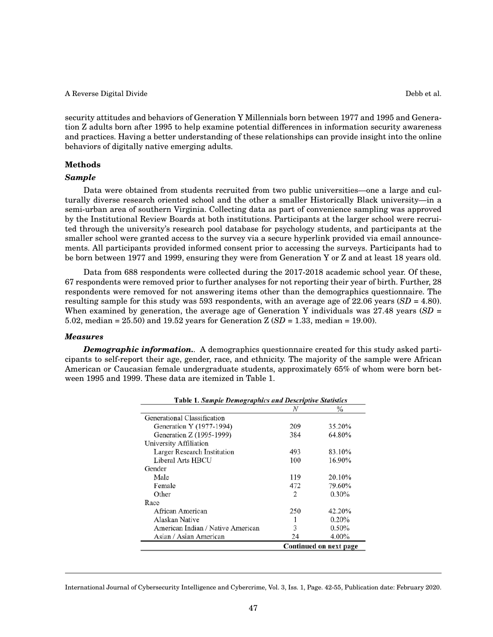security attitudes and behaviors of Generation Y Millennials born between 1977 and 1995 and Generation Z adults born after 1995 to help examine potential differences in information security awareness and practices. Having a better understanding of these relationships can provide insight into the online behaviors of digitally native emerging adults.

# **Methods**

#### *Sample*

Data were obtained from students recruited from two public universities—one a large and culturally diverse research oriented school and the other a smaller Historically Black university—in a semi-urban area of southern Virginia. Collecting data as part of convenience sampling was approved by the Institutional Review Boards at both institutions. Participants at the larger school were recruited through the university's research pool database for psychology students, and participants at the smaller school were granted access to the survey via a secure hyperlink provided via email announcements. All participants provided informed consent prior to accessing the surveys. Participants had to be born between 1977 and 1999, ensuring they were from Generation Y or Z and at least 18 years old.

Data from 688 respondents were collected during the 2017-2018 academic school year. Of these, 67 respondents were removed prior to further analyses for not reporting their year of birth. Further, 28 respondents were removed for not answering items other than the demographics questionnaire. The resulting sample for this study was 593 respondents, with an average age of 22.06 years (*SD* = 4.80). When examined by generation, the average age of Generation Y individuals was  $27.48$  years  $(SD =$ 5.02, median = 25.50) and 19.52 years for Generation Z (*SD* = 1.33, median = 19.00).

# *Measures*

*Demographic information..* A demographics questionnaire created for this study asked participants to self-report their age, gender, race, and ethnicity. The majority of the sample were African American or Caucasian female undergraduate students, approximately 65% of whom were born between 1995 and 1999. These data are itemized in Table 1.

| <b>Table 1. Sample Demographics and Descriptive Statistics</b> |                        |          |  |  |
|----------------------------------------------------------------|------------------------|----------|--|--|
|                                                                | N                      | $\%$     |  |  |
| Generational Classification                                    |                        |          |  |  |
| Generation Y (1977-1994)                                       | 209                    | 35.20%   |  |  |
| Generation Z (1995-1999)                                       | 384                    | 64.80%   |  |  |
| University Affiliation                                         |                        |          |  |  |
| Larger Research Institution                                    | 493                    | 83.10%   |  |  |
| Liberal Arts HBCU                                              | 100                    | 16.90%   |  |  |
| Gender                                                         |                        |          |  |  |
| Male                                                           | 119                    | 20.10%   |  |  |
| Female                                                         | 472                    | 79.60%   |  |  |
| Other                                                          | 2                      | $0.30\%$ |  |  |
| Race                                                           |                        |          |  |  |
| African American                                               | 250                    | 42.20%   |  |  |
| Alaskan Native                                                 |                        | $0.20\%$ |  |  |
| American Indian / Native American                              | 3                      | 0.50%    |  |  |
| Asian / Asian American                                         | 24                     | 4.00%    |  |  |
|                                                                | Continued on next page |          |  |  |

International Journal of Cybersecurity Intelligence and Cybercrime, Vol. 3, Iss. 1, Page. 42-55, Publication date: February 2020.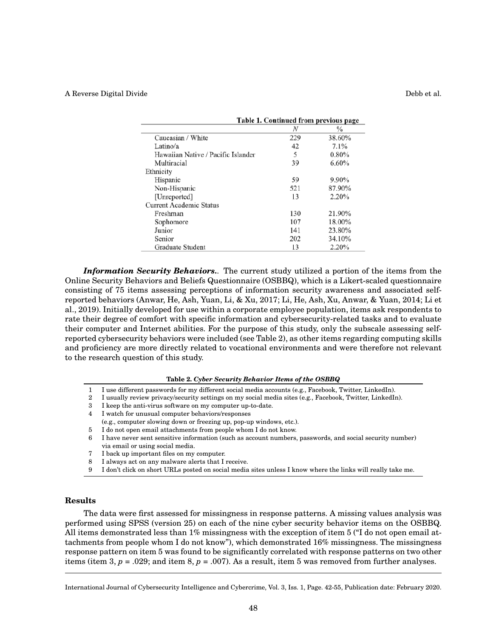|                                    | Table 1. Continued from previous page |               |  |
|------------------------------------|---------------------------------------|---------------|--|
|                                    | N                                     | $\frac{0}{0}$ |  |
| Caucasian / White                  | 229                                   | 38.60%        |  |
| Latino/a                           | 42                                    | 7.1%          |  |
| Hawaiian Native / Pacific Islander | 5                                     | 0.80%         |  |
| Multiracial                        | 39                                    | 6.60%         |  |
| Ethnicity                          |                                       |               |  |
| Hispanic                           | 59                                    | 9.90%         |  |
| Non-Hispanic                       | 521                                   | 87.90%        |  |
| [Unreported]                       | 13                                    | 2.20%         |  |
| <b>Current Academic Status</b>     |                                       |               |  |
| Freshman                           | 130                                   | 21.90%        |  |
| Sophomore                          | 107                                   | 18.00%        |  |
| Junior                             | 141                                   | 23.80%        |  |
| Senior                             | 202                                   | 34.10%        |  |
| Graduate Student                   | 13                                    | 2.20%         |  |

*Information Security Behaviors..* The current study utilized a portion of the items from the Online Security Behaviors and Beliefs Questionnaire (OSBBQ), which is a Likert-scaled questionnaire consisting of 75 items assessing perceptions of information security awareness and associated selfreported behaviors (Anwar, He, Ash, Yuan, Li, & Xu, 2017; Li, He, Ash, Xu, Anwar, & Yuan, 2014; Li et al., 2019). Initially developed for use within a corporate employee population, items ask respondents to rate their degree of comfort with specific information and cybersecurity-related tasks and to evaluate their computer and Internet abilities. For the purpose of this study, only the subscale assessing selfreported cybersecurity behaviors were included (see Table 2), as other items regarding computing skills and proficiency are more directly related to vocational environments and were therefore not relevant to the research question of this study.

#### **Table 2.** *Cyber Security Behavior Items of the OSBBQ*

- 1 I use different passwords for my different social media accounts (e.g., Facebook, Twitter, LinkedIn).
- 2 I usually review privacy/security settings on my social media sites (e.g., Facebook, Twitter, LinkedIn).
- 3 I keep the anti-virus software on my computer up-to-date.
- 4 I watch for unusual computer behaviors/responses
- (e.g., computer slowing down or freezing up, pop-up windows, etc.).
- 5 I do not open email attachments from people whom I do not know.
- 6 I have never sent sensitive information (such as account numbers, passwords, and social security number) via email or using social media.
- 7 I back up important files on my computer.
- 8 I always act on any malware alerts that I receive.
- 9 I don't click on short URLs posted on social media sites unless I know where the links will really take me.

# **Results**

The data were first assessed for missingness in response patterns. A missing values analysis was performed using SPSS (version 25) on each of the nine cyber security behavior items on the OSBBQ. All items demonstrated less than 1% missingness with the exception of item 5 ("I do not open email attachments from people whom I do not know"), which demonstrated 16% missingness. The missingness response pattern on item 5 was found to be significantly correlated with response patterns on two other items (item 3,  $p = .029$ ; and item 8,  $p = .007$ ). As a result, item 5 was removed from further analyses.

International Journal of Cybersecurity Intelligence and Cybercrime, Vol. 3, Iss. 1, Page. 42-55, Publication date: February 2020.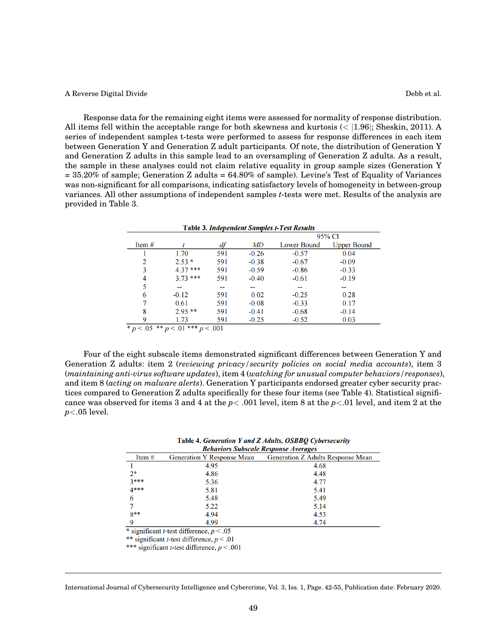Response data for the remaining eight items were assessed for normality of response distribution. All items fell within the acceptable range for both skewness and kurtosis  $\langle \langle 1.96|$ ; Sheskin, 2011). A series of independent samples t-tests were performed to assess for response differences in each item between Generation Y and Generation Z adult participants. Of note, the distribution of Generation Y and Generation Z adults in this sample lead to an oversampling of Generation Z adults. As a result, the sample in these analyses could not claim relative equality in group sample sizes (Generation Y = 35.20% of sample; Generation Z adults = 64.80% of sample). Levine's Test of Equality of Variances was non-significant for all comparisons, indicating satisfactory levels of homogeneity in between-group variances. All other assumptions of independent samples *t*-tests were met. Results of the analysis are provided in Table 3.

| <b>Table 3. Independent Samples t-Test Results</b> |           |     |         |             |                    |
|----------------------------------------------------|-----------|-----|---------|-------------|--------------------|
|                                                    |           |     |         | 95% CI      |                    |
| Item $#$                                           |           | df  | MD      | Lower Bound | <b>Upper Bound</b> |
|                                                    | 1.70      | 591 | $-0.26$ | $-0.57$     | 0.04               |
| 2                                                  | $2.53*$   | 591 | $-0.38$ | $-0.67$     | $-0.09$            |
| 3                                                  | $4.37***$ | 591 | $-0.59$ | $-0.86$     | $-0.33$            |
| 4                                                  | $3.73***$ | 591 | $-0.40$ | $-0.61$     | $-0.19$            |
| 5                                                  |           | --  | --      | --          | --                 |
| 6                                                  | $-0.12$   | 591 | 0.02    | $-0.25$     | 0.28               |
|                                                    | 0.61      | 591 | $-0.08$ | $-0.33$     | 0.17               |
| 8                                                  | $2.95**$  | 591 | $-0.41$ | $-0.68$     | $-0.14$            |
| 9                                                  | 1.73      | 591 | $-0.25$ | $-0.52$     | 0.03               |
| * $p < 0.05$<br>$p < .01$ *** $p < .001$<br>**     |           |     |         |             |                    |

Four of the eight subscale items demonstrated significant differences between Generation Y and Generation Z adults: item 2 (*reviewing privacy/security policies on social media accounts*), item 3 (*maintaining anti-virus software updates*), item 4 (*watching for unusual computer behaviors/responses*), and item 8 (*acting on malware alerts*). Generation Y participants endorsed greater cyber security practices compared to Generation Z adults specifically for these four items (see Table 4). Statistical significance was observed for items 3 and 4 at the *p*< .001 level, item 8 at the *p*<.01 level, and item 2 at the *p*<.05 level.

| Table 4. Generation Y and Z Adults, OSBBQ Cybersecurity |  |  |
|---------------------------------------------------------|--|--|
| <b>Behaviors Subscale Response Averages</b>             |  |  |

| Denariois Subscute Response Arerages |                                   |                                   |  |
|--------------------------------------|-----------------------------------|-----------------------------------|--|
| Item $#$                             | <b>Generation Y Response Mean</b> | Generation Z Adults Response Mean |  |
|                                      | 4.95                              | 4.68                              |  |
| $2*$                                 | 4.86                              | 4.48                              |  |
| $3***$                               | 5.36                              | 4.77                              |  |
| $4***$                               | 5.81                              | 5.41                              |  |
| 6                                    | 5.48                              | 5.49                              |  |
|                                      | 5.22                              | 5.14                              |  |
| $8**$                                | 4.94                              | 4.53                              |  |
| Q                                    | 4.99                              | 4.74                              |  |

\* significant *t*-test difference,  $p < .05$ 

\*\* significant *t*-test difference,  $p < .01$ 

\*\*\* significant *t*-test difference,  $p < .001$ 

International Journal of Cybersecurity Intelligence and Cybercrime, Vol. 3, Iss. 1, Page. 42-55, Publication date: February 2020.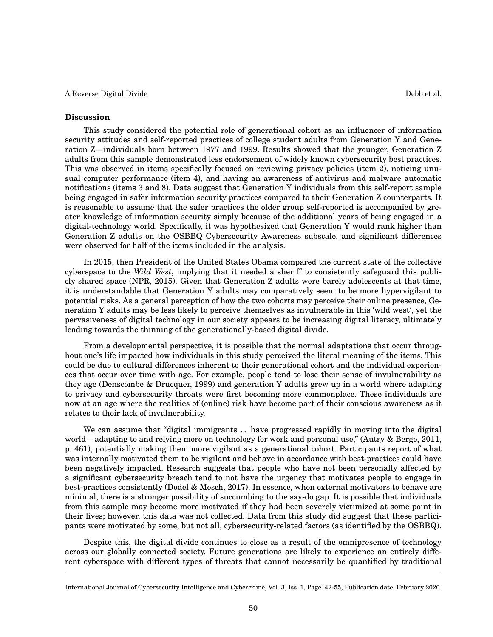#### **Discussion**

This study considered the potential role of generational cohort as an influencer of information security attitudes and self-reported practices of college student adults from Generation Y and Generation Z—individuals born between 1977 and 1999. Results showed that the younger, Generation Z adults from this sample demonstrated less endorsement of widely known cybersecurity best practices. This was observed in items specifically focused on reviewing privacy policies (item 2), noticing unusual computer performance (item 4), and having an awareness of antivirus and malware automatic notifications (items 3 and 8). Data suggest that Generation Y individuals from this self-report sample being engaged in safer information security practices compared to their Generation Z counterparts. It is reasonable to assume that the safer practices the older group self-reported is accompanied by greater knowledge of information security simply because of the additional years of being engaged in a digital-technology world. Specifically, it was hypothesized that Generation Y would rank higher than Generation Z adults on the OSBBQ Cybersecurity Awareness subscale, and significant differences

In 2015, then President of the United States Obama compared the current state of the collective cyberspace to the *Wild West*, implying that it needed a sheriff to consistently safeguard this publicly shared space (NPR, 2015). Given that Generation Z adults were barely adolescents at that time, it is understandable that Generation Y adults may comparatively seem to be more hypervigilant to potential risks. As a general perception of how the two cohorts may perceive their online presence, Generation Y adults may be less likely to perceive themselves as invulnerable in this 'wild west', yet the pervasiveness of digital technology in our society appears to be increasing digital literacy, ultimately leading towards the thinning of the generationally-based digital divide.

were observed for half of the items included in the analysis.

From a developmental perspective, it is possible that the normal adaptations that occur throughout one's life impacted how individuals in this study perceived the literal meaning of the items. This could be due to cultural differences inherent to their generational cohort and the individual experiences that occur over time with age. For example, people tend to lose their sense of invulnerability as they age (Denscombe & Drucquer, 1999) and generation Y adults grew up in a world where adapting to privacy and cybersecurity threats were first becoming more commonplace. These individuals are now at an age where the realities of (online) risk have become part of their conscious awareness as it relates to their lack of invulnerability.

We can assume that "digital immigrants... have progressed rapidly in moving into the digital world – adapting to and relying more on technology for work and personal use," (Autry & Berge, 2011, p. 461), potentially making them more vigilant as a generational cohort. Participants report of what was internally motivated them to be vigilant and behave in accordance with best-practices could have been negatively impacted. Research suggests that people who have not been personally affected by a significant cybersecurity breach tend to not have the urgency that motivates people to engage in best-practices consistently (Dodel & Mesch, 2017). In essence, when external motivators to behave are minimal, there is a stronger possibility of succumbing to the say-do gap. It is possible that individuals from this sample may become more motivated if they had been severely victimized at some point in their lives; however, this data was not collected. Data from this study did suggest that these participants were motivated by some, but not all, cybersecurity-related factors (as identified by the OSBBQ).

Despite this, the digital divide continues to close as a result of the omnipresence of technology across our globally connected society. Future generations are likely to experience an entirely different cyberspace with different types of threats that cannot necessarily be quantified by traditional

International Journal of Cybersecurity Intelligence and Cybercrime, Vol. 3, Iss. 1, Page. 42-55, Publication date: February 2020.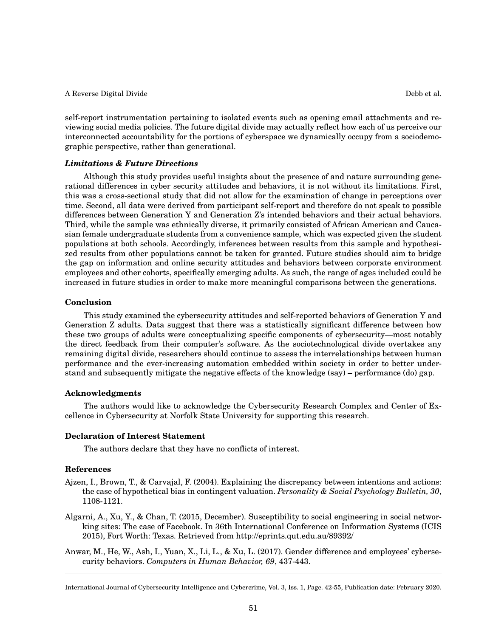self-report instrumentation pertaining to isolated events such as opening email attachments and reviewing social media policies. The future digital divide may actually reflect how each of us perceive our interconnected accountability for the portions of cyberspace we dynamically occupy from a sociodemographic perspective, rather than generational.

# *Limitations & Future Directions*

Although this study provides useful insights about the presence of and nature surrounding generational differences in cyber security attitudes and behaviors, it is not without its limitations. First, this was a cross-sectional study that did not allow for the examination of change in perceptions over time. Second, all data were derived from participant self-report and therefore do not speak to possible differences between Generation Y and Generation Z's intended behaviors and their actual behaviors. Third, while the sample was ethnically diverse, it primarily consisted of African American and Caucasian female undergraduate students from a convenience sample, which was expected given the student populations at both schools. Accordingly, inferences between results from this sample and hypothesized results from other populations cannot be taken for granted. Future studies should aim to bridge the gap on information and online security attitudes and behaviors between corporate environment employees and other cohorts, specifically emerging adults. As such, the range of ages included could be increased in future studies in order to make more meaningful comparisons between the generations.

# **Conclusion**

This study examined the cybersecurity attitudes and self-reported behaviors of Generation Y and Generation Z adults. Data suggest that there was a statistically significant difference between how these two groups of adults were conceptualizing specific components of cybersecurity—most notably the direct feedback from their computer's software. As the sociotechnological divide overtakes any remaining digital divide, researchers should continue to assess the interrelationships between human performance and the ever-increasing automation embedded within society in order to better understand and subsequently mitigate the negative effects of the knowledge (say) – performance (do) gap.

# **Acknowledgments**

The authors would like to acknowledge the Cybersecurity Research Complex and Center of Excellence in Cybersecurity at Norfolk State University for supporting this research.

# **Declaration of Interest Statement**

The authors declare that they have no conflicts of interest.

# **References**

- Ajzen, I., Brown, T., & Carvajal, F. (2004). Explaining the discrepancy between intentions and actions: the case of hypothetical bias in contingent valuation. *Personality & Social Psychology Bulletin, 30*, 1108-1121.
- Algarni, A., Xu, Y., & Chan, T. (2015, December). Susceptibility to social engineering in social networking sites: The case of Facebook. In 36th International Conference on Information Systems (ICIS 2015), Fort Worth: Texas. Retrieved from http://eprints.qut.edu.au/89392/
- Anwar, M., He, W., Ash, I., Yuan, X., Li, L., & Xu, L. (2017). Gender difference and employees' cybersecurity behaviors. *Computers in Human Behavior, 69*, 437-443.

International Journal of Cybersecurity Intelligence and Cybercrime, Vol. 3, Iss. 1, Page. 42-55, Publication date: February 2020.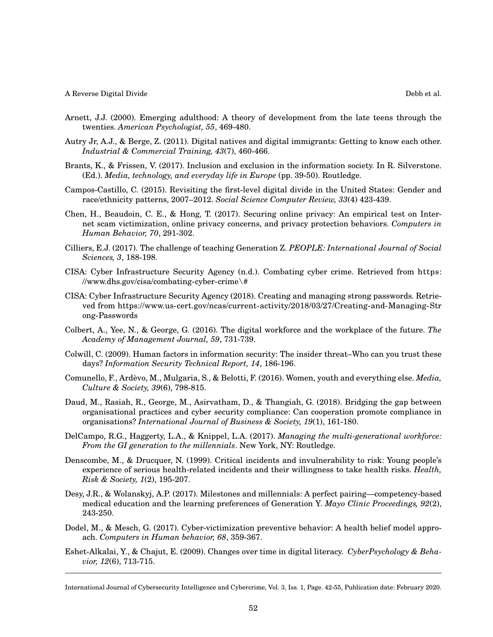- 
- Arnett, J.J. (2000). Emerging adulthood: A theory of development from the late teens through the twenties. *American Psychologist, 55*, 469-480.
- Autry Jr, A.J., & Berge, Z. (2011). Digital natives and digital immigrants: Getting to know each other. *Industrial & Commercial Training, 43*(7), 460-466.
- Brants, K., & Frissen, V. (2017). Inclusion and exclusion in the information society. In R. Silverstone. (Ed.). *Media, technology, and everyday life in Europe* (pp. 39-50). Routledge.
- Campos-Castillo, C. (2015). Revisiting the first-level digital divide in the United States: Gender and race/ethnicity patterns, 2007–2012. *Social Science Computer Review, 33*(4) 423-439.
- Chen, H., Beaudoin, C. E., & Hong, T. (2017). Securing online privacy: An empirical test on Internet scam victimization, online privacy concerns, and privacy protection behaviors. *Computers in Human Behavior, 70*, 291-302.
- Cilliers, E.J. (2017). The challenge of teaching Generation Z. *PEOPLE: International Journal of Social Sciences, 3*, 188-198.
- CISA: Cyber Infrastructure Security Agency (n.d.). Combating cyber crime. Retrieved from https: //www.dhs.gov/cisa/combating-cyber-crime\#
- CISA: Cyber Infrastructure Security Agency (2018). Creating and managing strong passwords. Retrieved from https://www.us-cert.gov/ncas/current-activity/2018/03/27/Creating-and-Managing-Str ong-Passwords
- Colbert, A., Yee, N., & George, G. (2016). The digital workforce and the workplace of the future. *The Academy of Management Journal, 59*, 731-739.
- Colwill, C. (2009). Human factors in information security: The insider threat–Who can you trust these days? *Information Security Technical Report, 14*, 186-196.
- Comunello, F., Ardèvo, M., Mulgaria, S., & Belotti, F. (2016). Women, youth and everything else. *Media, Culture & Society, 39*(6), 798-815.
- Daud, M., Rasiah, R., George, M., Asirvatham, D., & Thangiah, G. (2018). Bridging the gap between organisational practices and cyber security compliance: Can cooperation promote compliance in organisations? *International Journal of Business & Society, 19*(1), 161-180.
- DelCampo, R.G., Haggerty, L.A., & Knippel, L.A. (2017). *Managing the multi-generational workforce: From the GI generation to the millennials*. New York, NY: Routledge.
- Denscombe, M., & Drucquer, N. (1999). Critical incidents and invulnerability to risk: Young people's experience of serious health-related incidents and their willingness to take health risks. *Health, Risk & Society, 1*(2), 195-207.
- Desy, J.R., & Wolanskyj, A.P. (2017). Milestones and millennials: A perfect pairing—competency-based medical education and the learning preferences of Generation Y. *Mayo Clinic Proceedings, 92*(2), 243-250.
- Dodel, M., & Mesch, G. (2017). Cyber-victimization preventive behavior: A health belief model approach. *Computers in Human behavior, 68*, 359-367.
- Eshet-Alkalai, Y., & Chajut, E. (2009). Changes over time in digital literacy. *CyberPsychology & Behavior, 12*(6), 713-715.

International Journal of Cybersecurity Intelligence and Cybercrime, Vol. 3, Iss. 1, Page. 42-55, Publication date: February 2020.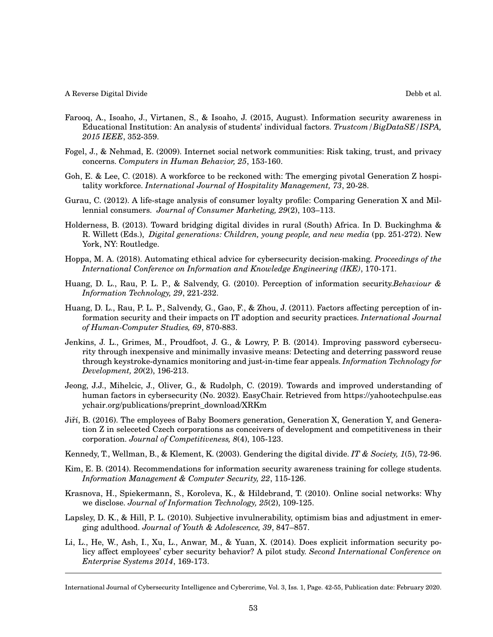- Farooq, A., Isoaho, J., Virtanen, S., & Isoaho, J. (2015, August). Information security awareness in Educational Institution: An analysis of students' individual factors. *Trustcom/BigDataSE/ISPA, 2015 IEEE*, 352-359.
- Fogel, J., & Nehmad, E. (2009). Internet social network communities: Risk taking, trust, and privacy concerns. *Computers in Human Behavior, 25*, 153-160.
- Goh, E. & Lee, C. (2018). A workforce to be reckoned with: The emerging pivotal Generation Z hospitality workforce. *International Journal of Hospitality Management, 73*, 20-28.
- Gurau, C. (2012). A life-stage analysis of consumer loyalty profile: Comparing Generation X and Millennial consumers. *Journal of Consumer Marketing, 29*(2), 103–113.
- Holderness, B. (2013). Toward bridging digital divides in rural (South) Africa. In D. Buckinghma & R. Willett (Eds.), *Digital generations: Children, young people, and new media* (pp. 251-272). New York, NY: Routledge.
- Hoppa, M. A. (2018). Automating ethical advice for cybersecurity decision-making. *Proceedings of the International Conference on Information and Knowledge Engineering (IKE)*, 170-171.
- Huang, D. L., Rau, P. L. P., & Salvendy, G. (2010). Perception of information security.*Behaviour & Information Technology, 29*, 221-232.
- Huang, D. L., Rau, P. L. P., Salvendy, G., Gao, F., & Zhou, J. (2011). Factors affecting perception of information security and their impacts on IT adoption and security practices. *International Journal of Human-Computer Studies, 69*, 870-883.
- Jenkins, J. L., Grimes, M., Proudfoot, J. G., & Lowry, P. B. (2014). Improving password cybersecurity through inexpensive and minimally invasive means: Detecting and deterring password reuse through keystroke-dynamics monitoring and just-in-time fear appeals. *Information Technology for Development, 20*(2), 196-213.
- Jeong, J.J., Mihelcic, J., Oliver, G., & Rudolph, C. (2019). Towards and improved understanding of human factors in cybersecurity (No. 2032). EasyChair. Retrieved from https://yahootechpulse.eas ychair.org/publications/preprint\_download/XRKm
- Jiří, B. (2016). The employees of Baby Boomers generation, Generation X, Generation Y, and Generation Z in seleceted Czech corporations as conceivers of development and competitiveness in their corporation. *Journal of Competitiveness, 8*(4), 105-123.
- Kennedy, T., Wellman, B., & Klement, K. (2003). Gendering the digital divide. *IT & Society, 1*(5), 72-96.
- Kim, E. B. (2014). Recommendations for information security awareness training for college students. *Information Management & Computer Security, 22*, 115-126.
- Krasnova, H., Spiekermann, S., Koroleva, K., & Hildebrand, T. (2010). Online social networks: Why we disclose. *Journal of Information Technology, 25*(2), 109-125.
- Lapsley, D. K., & Hill, P. L. (2010). Subjective invulnerability, optimism bias and adjustment in emerging adulthood. *Journal of Youth & Adolescence, 39*, 847–857.
- Li, L., He, W., Ash, I., Xu, L., Anwar, M., & Yuan, X. (2014). Does explicit information security policy affect employees' cyber security behavior? A pilot study. *Second International Conference on Enterprise Systems 2014*, 169-173.

International Journal of Cybersecurity Intelligence and Cybercrime, Vol. 3, Iss. 1, Page. 42-55, Publication date: February 2020.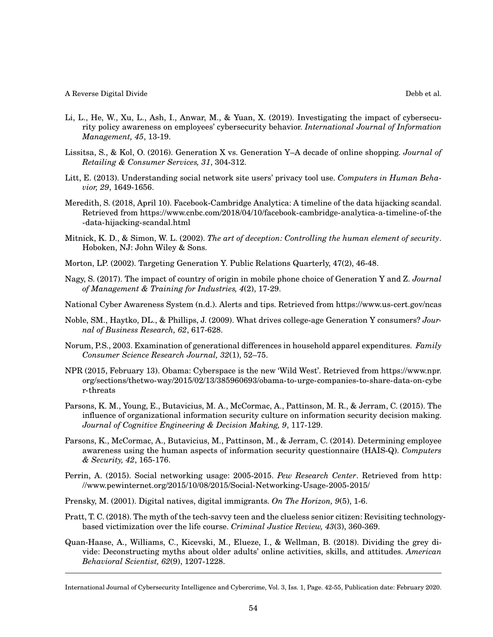- Li, L., He, W., Xu, L., Ash, I., Anwar, M., & Yuan, X. (2019). Investigating the impact of cybersecurity policy awareness on employees' cybersecurity behavior. *International Journal of Information Management, 45*, 13-19.
- Lissitsa, S., & Kol, O. (2016). Generation X vs. Generation Y–A decade of online shopping. *Journal of Retailing & Consumer Services, 31*, 304-312.
- Litt, E. (2013). Understanding social network site users' privacy tool use. *Computers in Human Behavior, 29*, 1649-1656.
- Meredith, S. (2018, April 10). Facebook-Cambridge Analytica: A timeline of the data hijacking scandal. Retrieved from https://www.cnbc.com/2018/04/10/facebook-cambridge-analytica-a-timeline-of-the -data-hijacking-scandal.html
- Mitnick, K. D., & Simon, W. L. (2002). *The art of deception: Controlling the human element of security*. Hoboken, NJ: John Wiley & Sons.
- Morton, LP. (2002). Targeting Generation Y. Public Relations Quarterly, 47(2), 46-48.
- Nagy, S. (2017). The impact of country of origin in mobile phone choice of Generation Y and Z. *Journal of Management & Training for Industries, 4*(2), 17-29.
- National Cyber Awareness System (n.d.). Alerts and tips. Retrieved from https://www.us-cert.gov/ncas
- Noble, SM., Haytko, DL., & Phillips, J. (2009). What drives college-age Generation Y consumers? *Journal of Business Research, 62*, 617-628.
- Norum, P.S., 2003. Examination of generational differences in household apparel expenditures. *Family Consumer Science Research Journal, 32*(1), 52–75.
- NPR (2015, February 13). Obama: Cyberspace is the new 'Wild West'. Retrieved from https://www.npr. org/sections/thetwo-way/2015/02/13/385960693/obama-to-urge-companies-to-share-data-on-cybe r-threats
- Parsons, K. M., Young, E., Butavicius, M. A., McCormac, A., Pattinson, M. R., & Jerram, C. (2015). The influence of organizational information security culture on information security decision making. *Journal of Cognitive Engineering & Decision Making, 9*, 117-129.
- Parsons, K., McCormac, A., Butavicius, M., Pattinson, M., & Jerram, C. (2014). Determining employee awareness using the human aspects of information security questionnaire (HAIS-Q). *Computers & Security, 42*, 165-176.
- Perrin, A. (2015). Social networking usage: 2005-2015. *Pew Research Center*. Retrieved from http: //www.pewinternet.org/2015/10/08/2015/Social-Networking-Usage-2005-2015/
- Prensky, M. (2001). Digital natives, digital immigrants. *On The Horizon, 9*(5), 1-6.
- Pratt, T. C. (2018). The myth of the tech-savvy teen and the clueless senior citizen: Revisiting technologybased victimization over the life course. *Criminal Justice Review, 43*(3), 360-369.
- Quan-Haase, A., Williams, C., Kicevski, M., Elueze, I., & Wellman, B. (2018). Dividing the grey divide: Deconstructing myths about older adults' online activities, skills, and attitudes. *American Behavioral Scientist, 62*(9), 1207-1228.

International Journal of Cybersecurity Intelligence and Cybercrime, Vol. 3, Iss. 1, Page. 42-55, Publication date: February 2020.